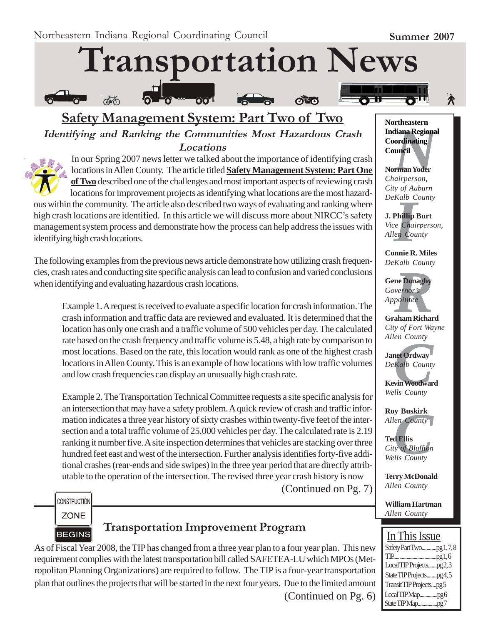À

# **Transportation News**



# **Safety Management System: Part Two of Two Identifying and Ranking the Communities Most Hazardous Crash Locations**



In our Spring 2007 news letter we talked about the importance of identifying crash locations in Allen County. The article titled **Safety Management System: Part One of Two** described one of the challenges and most important aspects of reviewing crash locations for improvement projects as identifying what locations are the most hazard-

ous within the community. The article also described two ways of evaluating and ranking where high crash locations are identified. In this article we will discuss more about NIRCC's safety management system process and demonstrate how the process can help address the issues with identifying high crash locations.

The following examples from the previous news article demonstrate how utilizing crash frequencies, crash rates and conducting site specific analysis can lead to confusion and varied conclusions when identifying and evaluating hazardous crash locations.

Example 1. A request is received to evaluate a specific location for crash information. The crash information and traffic data are reviewed and evaluated. It is determined that the location has only one crash and a traffic volume of 500 vehicles per day. The calculated rate based on the crash frequency and traffic volume is 5.48, a high rate by comparison to most locations. Based on the rate, this location would rank as one of the highest crash locations in Allen County. This is an example of how locations with low traffic volumes and low crash frequencies can display an unusually high crash rate.

Example 2. The Transportation Technical Committee requests a site specific analysis for an intersection that may have a safety problem. A quick review of crash and traffic information indicates a three year history of sixty crashes within twenty-five feet of the intersection and a total traffic volume of 25,000 vehicles per day. The calculated rate is 2.19 ranking it number five. A site inspection determines that vehicles are stacking over three hundred feet east and west of the intersection. Further analysis identifies forty-five additional crashes (rear-ends and side swipes) in the three year period that are directly attributable to the operation of the intersection. The revised three year crash history is now (Continued on Pg. 7)

**CONSTRUCTION** 

**ZONE BEGINS** 

# **Transportation Improvement Program**

As of Fiscal Year 2008, the TIP has changed from a three year plan to a four year plan. This new requirement complies with the latest transportation bill called SAFETEA-LU which MPOs (Metropolitan Planning Organizations) are required to follow. The TIP is a four-year transportation plan that outlines the projects that will be started in the next four years. Due to the limited amount

(Continued on Pg. 6)

**Mortheastern<br>
Indiana Regional<br>
Coordinating<br>
Council<br>
Norman Yoder<br>** *Chairperson***, Northeastern Coordinating Council**

**Norman Yoder** *Chairperson, City of Auburn DeKalb County*

*I* **J. Phillip Burt** *Vice Chairperson, Allen County*

**Connie R. Miles** *DeKalb County*

**ne Donaghy**<br>*Reports*<br>*Repointee*<br>**Reports**<br>**Reports**<br>**Reports Gene Donaghy** *Governor's Appointee*

**Graham Richard** *City of Fort Wayne Allen County*

*en County<br>Andro County<br>Kalb County<br>vin Woodwar<br>Ils County* **Janet Ordway** *DeKalb County*

**Kevin Woodward** *Wells County*

**Roy Buskirk** *Allen County*

**y Buskirk**<br> *County*<br> **C** Ellis<br> *County* **Ted Ellis** *City of Bluffton Wells County*

**Terry McDonald** *Allen County*

**William Hartman** *Allen County*

# I In This Issue

| Safety Part Twopg 1,7,8  |
|--------------------------|
|                          |
| Local TIP Projectspg2,3  |
| State TIP Projectspg 4,5 |
| Transit TIP Projectspg5  |
|                          |
| StateTIPMappg7           |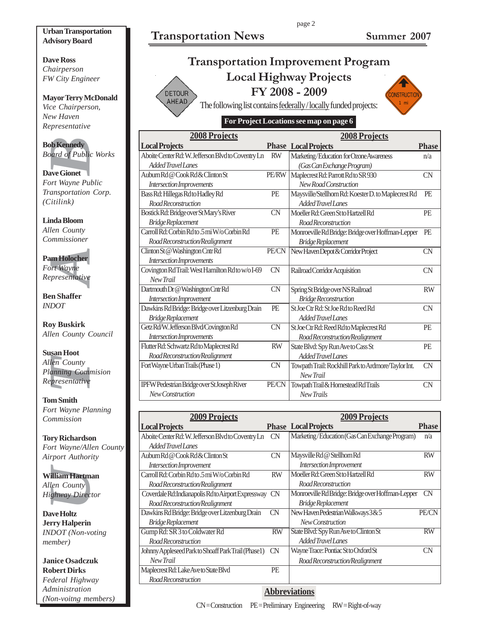# **Transportation News Summer 2007**

page 2

#### **Urban Transportation Advisory Board**

**Dave Ross** *Chairperson FW City Engineer*

#### **Mayor Terry McDonald** *Vice Chairperson, New Haven Representative*

**Bob Kennedy** *Board of Public Works*

**Dave Gionet** *Fort Wayne Public Transportation Corp. (Citilink)*

**Linda Bloom** *Allen County Commissioner*

**Pam Holocher** *Fort Wayne Representative*

**Ben Shaffer** *INDOT*

**Roy Buskirk** *Allen County Council*

**Definedly**<br>
Definedly<br>
Defined of Public<br>
are Gionet<br>
Internation<br>
University and Bloom<br>
University<br>
University<br>
University<br>
Presentative<br>
Presentative<br>
Presentative<br>
Presentative<br>
Dom Buskirk<br>
University<br>
University<br>
Uni **Susan Hoot** *Allen County Planning Commision Representative*

**Tom Smith** *Fort Wayne Planning Commission*

**Tory Richardson** *Fort Wayne/Allen County Airport Authority*

**William Hartman** *Allen County Highway Director*

**Dave Holtz Jerry Halperin** *INDOT (Non-voting member)*

**Janice Osadczuk Robert Dirks** *Federal Highway Administration (Non-voitng members)*

|               | <b>Transportation Improvement Program</b>                        |        |
|---------------|------------------------------------------------------------------|--------|
|               | <b>Local Highway Projects</b>                                    |        |
| <b>DETOUR</b> | FY 2008 - 2009                                                   | ONSTRU |
| AHEAD         | The following list contains follow lly (locally funded projects) |        |

The following list contains federally / locally funded projects:

### **For Project Locations see map on page 6**

| <b>2008 Projects</b>                               |              | <b>2008 Projects</b>                                |              |
|----------------------------------------------------|--------------|-----------------------------------------------------|--------------|
| <b>Local Projects</b>                              |              | <b>Phase Local Projects</b>                         | <b>Phase</b> |
| Aboite Center Rd: W. Jefferson Blvd to Coventry Ln | <b>RW</b>    | Marketing/Education for Ozone Awareness             | n/a          |
| Added Travel Lanes                                 |              | (Gas Can Exchange Program)                          |              |
| Auburn Rd @ Cook Rd & Clinton St                   | <b>PE/RW</b> | Maplecrest Rd: Parrott Rd to SR 930                 | CN           |
| Intersection Improvements                          |              | New Road Construction                               |              |
| Bass Rd: Hillegas Rdto Hadley Rd                   | <b>PE</b>    | Maysville/Stellhorn Rd: Koester D. to Maplecrest Rd | PE           |
| Road Reconstruction                                |              | Added Travel Lanes                                  |              |
| Bostick Rd: Bridge over St Mary's River            | <b>CN</b>    | Moeller Rd: Green St to Hartzell Rd                 | PE           |
| Bridge Replacement                                 |              | <b>Road Reconstruction</b>                          |              |
| Carroll Rd: Corbin Rd to .5 mi W/o Corbin Rd       | <b>PE</b>    | Monroeville Rd Bridge: Bridge over Hoffman-Lepper   | PE           |
| Road Reconstruction/Realignment                    |              | Bridge Replacement                                  |              |
| Clinton St @ Washington Cntr Rd                    | PE/CN        | New Haven Depot & Corridor Project                  | CN           |
| Intersection Improvements                          |              |                                                     |              |
| Covington Rd Trail: West Hamilton Rd to w/o I-69   | CN           | Railroad Corridor Acquisition                       | <b>CN</b>    |
| New Trail                                          |              |                                                     |              |
| Dartmouth Dr @ Washington Cntr Rd                  | <b>CN</b>    | Spring St Bridge over NS Railroad                   | <b>RW</b>    |
| Intersection Improvement                           |              | <b>Bridge Reconstruction</b>                        |              |
| Dawkins Rd Bridge: Bridge over Litzenburg Drain    | PE           | St.Joe Ctr Rd: St.Joe Rd to Reed Rd                 | <b>CN</b>    |
| Bridge Replacement                                 |              | Added Travel Lanes                                  |              |
| Getz Rd/W. Jefferson Blvd/Covington Rd             | CN           | St Joe Ctr Rd: Reed Rd to Maplecrest Rd             | PE           |
| Intersection Improvements                          |              | Road Reconstruction/Realignment                     |              |
| Flutter Rd: Schwartz Rd to Maplecrest Rd           | <b>RW</b>    | State Blvd: Spy Run Ave to Cass St                  | PE           |
| Road Reconstruction/Realignment                    |              | Added Travel Lanes                                  |              |
| Fort Wayne Urban Trails (Phase 1)                  | <b>CN</b>    | Towpath Trail: Rockhill Park to Ardmore/Taylor Int. | CN           |
|                                                    |              | New Trail                                           |              |
| IPFW Pedestrian Bridge over St Joseph River        | PE/CN        | Towpath Trail & Homestead Rd Trails                 | CN           |
| New Construction                                   |              | New Trails                                          |              |

| <b>2009 Projects</b>                                |             | <b>2009 Projects</b>                              |              |
|-----------------------------------------------------|-------------|---------------------------------------------------|--------------|
| <b>Local Projects</b>                               |             | <b>Phase Local Projects</b>                       | <b>Phase</b> |
| Aboite Center Rd: W. Jefferson Blvd to Coventry Ln  | CN          | Marketing/Education (Gas Can Exchange Program)    | n/a          |
| Added Travel Lanes                                  |             |                                                   |              |
| Auburn Rd @ Cook Rd & Clinton St                    | CN          | Maysville Rd @ Stellhorn Rd                       | <b>RW</b>    |
| Intersection Improvement                            |             | Intersection Improvement                          |              |
| Carroll Rd: Corbin Rd to .5 mi W/o Corbin Rd        | <b>RW</b>   | Moeller Rd: Green St to Hartzell Rd               | <b>RW</b>    |
| Road Reconstruction/Realignment                     |             | Road Reconstruction                               |              |
| Coverdale Rd: Indianapolis Rd to Airport Expressway | <b>CN</b>   | Monroeville Rd Bridge: Bridge over Hoffman-Lepper | <b>CN</b>    |
| Road Reconstruction/Realignment                     |             | <b>Bridge Replacement</b>                         |              |
| Dawkins Rd Bridge: Bridge over Litzenburg Drain     | <b>CN</b>   | New Haven Pedestrian Walkways 3 & 5               | PE/CN        |
| Bridge Replacement                                  |             | New Construction                                  |              |
| Gump Rd: SR 3 to Coldwater Rd                       | <b>RW</b>   | State Blvd: Spy Run Ave to Clinton St             | <b>RW</b>    |
| Road Reconstruction                                 |             | Added Travel Lanes                                |              |
| Johnny Appleseed Park to Shoaff Park Trail (Phase1) | CN          | Wayne Trace: Pontiac St to Oxford St              | CΝ           |
| New Trail                                           |             | Road Reconstruction/Realignment                   |              |
| Maplecrest Rd: Lake Ave to State Blvd               | <b>PE</b>   |                                                   |              |
| Road Reconstruction                                 |             |                                                   |              |
|                                                     | $\sim$ $ -$ |                                                   |              |

#### **Abbreviations**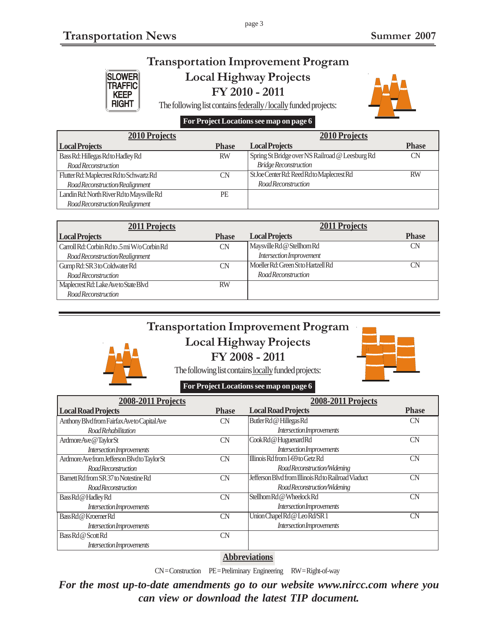**KEEP RIGHT** 

### **Transportation Improvement Program Local Highway Projects** SLOWER<br>TRAFFIC

page 3

**FY 2010 - 2011**



The following list contains federally / locally funded projects:

### **For Project Locations see map on page 6**

| <b>2010 Projects</b>                      |              | <b>2010 Projects</b>                            |              |
|-------------------------------------------|--------------|-------------------------------------------------|--------------|
| <b>Local Projects</b>                     | <b>Phase</b> | <b>Local Projects</b>                           | <b>Phase</b> |
| Bass Rd: Hillegas Rd to Hadley Rd         | <b>RW</b>    | Spring St Bridge over NS Railroad @ Leesburg Rd | CN           |
| Road Reconstruction                       |              | <b>Bridge Reconstruction</b>                    |              |
| Flutter Rd: Maplecrest Rd to Schwartz Rd  | CN           | St Joe Center Rd: Reed Rd to Maplecrest Rd      | <b>RW</b>    |
| Road Reconstruction/Realignment           |              | Road Reconstruction                             |              |
| Landin Rd: North River Rd to Maysville Rd | PE           |                                                 |              |
| Road Reconstruction/Realignment           |              |                                                 |              |

| 2011 Projects                                |              | <b>2011 Projects</b>                |              |
|----------------------------------------------|--------------|-------------------------------------|--------------|
| <b>Local Projects</b>                        | <b>Phase</b> | <b>Local Projects</b>               | <b>Phase</b> |
| Carroll Rd: Corbin Rd to .5 mi W/o Corbin Rd | CN           | Maysville Rd @ Stellhorn Rd         | CN           |
| Road Reconstruction/Realignment              |              | Intersection Improvement            |              |
| Gump Rd: SR 3 to Coldwater Rd                | CΝ           | Moeller Rd: Green St to Hartzell Rd | <b>CN</b>    |
| Road Reconstruction                          |              | Road Reconstruction                 |              |
| Maplecrest Rd: Lake Ave to State Blvd        | <b>RW</b>    |                                     |              |
| Road Reconstruction                          |              |                                     |              |

# **Transportation Improvement Program Local Highway Projects FY 2008 - 2011**



The following list contains locally funded projects:

### **For Project Locations see map on page 6**

| 2008-2011 Projects                           |              | 2008-2011 Projects                                  |              |
|----------------------------------------------|--------------|-----------------------------------------------------|--------------|
| <b>Local Road Projects</b>                   | <b>Phase</b> | <b>Local Road Projects</b>                          | <b>Phase</b> |
| Anthony Blvd from Fairfax Aveto Capital Ave  | <b>CN</b>    | Butler Rd @ Hillegas Rd                             | CN           |
| Road Rehabilitation                          |              | Intersection Improvements                           |              |
| ArdmoreAve @TaylorSt                         | <b>CN</b>    | Cook Rd @ Huguenard Rd                              | <b>CN</b>    |
| Intersection Improvements                    |              | Intersection Improvements                           |              |
| Ardmore Ave from Jefferson Blvd to Taylor St | CN           | Illinois Rd from I-69 to Getz Rd                    | CN           |
| <b>Road Reconstruction</b>                   |              | Road Reconstruction/Widening                        |              |
| Barnett Rd from SR 37 to Notestine Rd        | <b>CN</b>    | Jefferson Blyd from Illinois Rd to Railroad Viaduct | <b>CN</b>    |
| <b>Road Reconstruction</b>                   |              | Road Reconstruction/Widening                        |              |
| Bass Rd @ Hadley Rd                          | <b>CN</b>    | Stellhorn Rd @ Wheelock Rd                          | CN           |
| Intersection Improvements                    |              | Intersection Improvements                           |              |
| Bass Rd @ Kroemer Rd                         | <b>CN</b>    | Union Chapel Rd @ Leo Rd/SR 1                       | CN           |
| Intersection Improvements                    |              | Intersection Improvements                           |              |
| Bass Rd @ Scott Rd                           | <b>CN</b>    |                                                     |              |
| Intersection Improvements                    |              |                                                     |              |

### **Abbreviations**

CN = Construction PE = Preliminary Engineering RW = Right-of-way

*For the most up-to-date amendments go to our website www.nircc.com where you can view or download the latest TIP document.*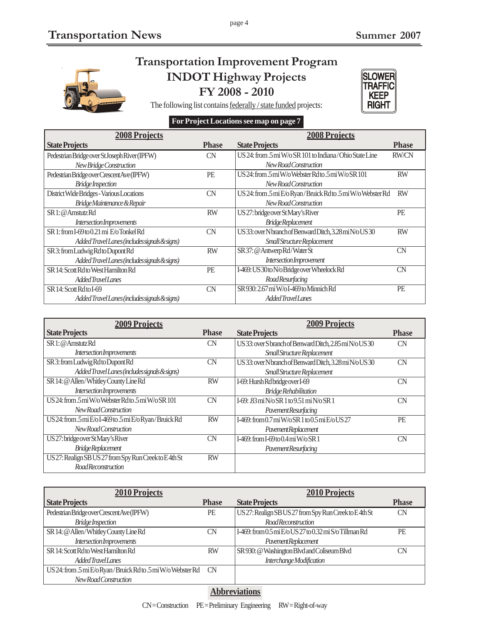

# **Transportation Improvement Program INDOT Highway Projects**

page 4

**FY 2008 - 2010**





### **For Project Locations see map on page 7**

| <b>2008 Projects</b>                          |              | <b>2008 Projects</b>                                         |              |
|-----------------------------------------------|--------------|--------------------------------------------------------------|--------------|
| <b>State Projects</b>                         | <b>Phase</b> | <b>State Projects</b>                                        | <b>Phase</b> |
| Pedestrian Bridge over St Joseph River (IPFW) | <b>CN</b>    | US 24: from .5 mi W/o SR 101 to Indiana/Ohio State Line      | <b>RW/CN</b> |
| New Bridge Construction                       |              | New Road Construction                                        |              |
| Pedestrian Bridge over Crescent Ave (IPFW)    | PE           | US24: from .5 mi W/o Webster Rd to .5 mi W/o SR 101          | <b>RW</b>    |
| <b>Bridge Inspection</b>                      |              | New Road Construction                                        |              |
| District Wide Bridges - Various Locations     | <b>CN</b>    | US 24: from .5 mi E/o Ryan/Bruick Rd to .5 mi W/o Webster Rd | <b>RW</b>    |
| Bridge Maintenance & Repair                   |              | New Road Construction                                        |              |
| SR1: @ Amstutz Rd                             | <b>RW</b>    | US 27: bridge over St Mary's River                           | PE           |
| Intersection Improvements                     |              | <b>Bridge Replacement</b>                                    |              |
| SR 1: from I-69 to 0.21 mi E/o Tonkel Rd      | CN           | US33: over Nbranch of Benward Ditch, 3.28 mi N/o US30        | <b>RW</b>    |
| Added Travel Lanes (includes signals & signs) |              | Small Structure Replacement                                  |              |
| SR 3: from Ludwig Rd to Dupont Rd             | <b>RW</b>    | SR 37: @ Antwerp Rd/Water St                                 | <b>CN</b>    |
| Added Travel Lanes (includes signals & signs) |              | Intersection Improvement                                     |              |
| SR 14: Scott Rd to West Hamilton Rd           | PE           | I-469: US 30to N/o Bridge over Wheelock Rd                   | CN           |
| Added Travel Lanes                            |              | RoadResurfacing                                              |              |
| SR 14: Scott Rdto I-69                        | CN           | SR 930: 2.67 mi W/oI-469 to Minnich Rd                       | PE           |
| Added Travel Lanes (includes signals & signs) |              | Added Travel Lanes                                           |              |

| <b>2009 Projects</b>                                    |              | <b>2009 Projects</b>                                   |              |
|---------------------------------------------------------|--------------|--------------------------------------------------------|--------------|
| <b>State Projects</b>                                   | <b>Phase</b> | <b>State Projects</b>                                  | <b>Phase</b> |
| SR 1: @ Amstutz Rd                                      | CN           | US33: over S branch of Benward Ditch, 2.85 mi N/o US30 | <b>CN</b>    |
| Intersection Improvements                               |              | Small Structure Replacement                            |              |
| SR 3: from Ludwig Rd to Dupont Rd                       | CN           | US33: over N branch of Benward Ditch, 3.28 mi N/o US30 | <b>CN</b>    |
| Added Travel Lanes (includes signals & signs)           |              | Small Structure Replacement                            |              |
| SR 14: @ Allen/Whitley County Line Rd                   | <b>RW</b>    | I-69: Hursh Rdbridge over I-69                         | <b>CN</b>    |
| Intersection Improvements                               |              | <b>Bridge Rehabilitation</b>                           |              |
| US 24: from .5 mi W/o Webster Rd to .5 mi W/o SR 101    | CN           | I-69: .83miN/oSR 1 to 9.51 miN/oSR 1                   | <b>CN</b>    |
| New Road Construction                                   |              | Pavement Resurfacing                                   |              |
| US 24: from .5 mi E/o I-469 to .5 mi E/o Ryan/Bruick Rd | <b>RW</b>    | I-469: from 0.7 mi W/o SR 1 to 0.5 mi E/o US 27        | PE           |
| New Road Construction                                   |              | PavementReplacement                                    |              |
| US 27: bridge over St Mary's River                      | CN           | I-469: from I-69 to 0.4 mi W/o SR 1                    | CN           |
| Bridge Replacement                                      |              | Pavement Resurfacing                                   |              |
| US 27: Realign SB US 27 from Spy Run Creek to E4th St   | <b>RW</b>    |                                                        |              |
| <b>Road Reconstruction</b>                              |              |                                                        |              |

| <b>2010 Projects</b>                                         |              | <b>2010 Projects</b>                                         |              |
|--------------------------------------------------------------|--------------|--------------------------------------------------------------|--------------|
| <b>State Projects</b>                                        | <b>Phase</b> | <b>State Projects</b>                                        | <b>Phase</b> |
| Pedestrian Bridge over Crescent Ave (IPFW)                   | <b>PE</b>    | US 27: Realign SB US 27 from Spy Run Creek to E4th St        | <b>CN</b>    |
| <b>Bridge Inspection</b>                                     |              | <b>Road Reconstruction</b>                                   |              |
| SR 14: @ Allen/Whitley County Line Rd                        | CN           | I-469: from $0.5$ mi $E/0$ US 27 to $0.32$ mi S/o Tillman Rd | <b>PE</b>    |
| Intersection Improvements                                    |              | Pavement Replacement                                         |              |
| SR 14: Scott Rd to West Hamilton Rd                          | <b>RW</b>    | SR 930: @ Washington Blvd and Coliseum Blvd                  | CΝ           |
| Added Travel Lanes                                           |              | Interchange Modification                                     |              |
| US 24: from .5 mi E/o Ryan/Bruick Rd to .5 mi W/o Webster Rd | <b>CN</b>    |                                                              |              |
| New Road Construction                                        |              |                                                              |              |

### **Abbreviations**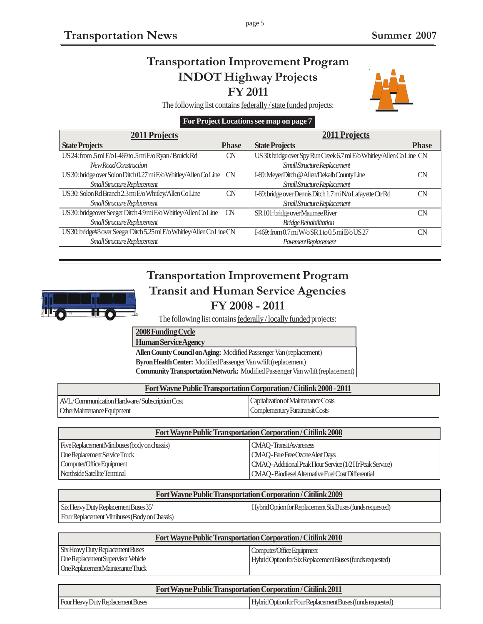# **Transportation Improvement Program INDOT Highway Projects FY 2011**



The following list contains federally / state funded projects:

### **For Project Locations see map on page 7**

| <b>2011 Projects</b>                                                   |              | <b>2011 Projects</b>                                                 |              |
|------------------------------------------------------------------------|--------------|----------------------------------------------------------------------|--------------|
| <b>State Projects</b>                                                  | <b>Phase</b> | <b>State Projects</b>                                                | <b>Phase</b> |
| US 24: from .5 mi E/o I-469 to .5 mi E/o Ryan/Bruick Rd                | <b>CN</b>    | US 30: bridge over Spy Run Creek 6.7 mi E/o Whitley/Allen Co Line CN |              |
| New Road Construction                                                  |              | Small Structure Replacement                                          |              |
| US 30: bridge over Solon Ditch 0.27 mi E/o Whitley/Allen Co Line       | <b>CN</b>    | I-69: Meyer Ditch @ Allen/Dekalb County Line                         | CΝ           |
| Small Structure Replacement                                            |              | Small Structure Replacement                                          |              |
| US 30: Solon Rd Branch 2.3 mi E/o Whitley/Allen Co Line                | CN           | I-69: bridge over Dennis Ditch 1.7 mi N/o Lafayette Ctr Rd           | <b>CN</b>    |
| Small Structure Replacement                                            |              | Small Structure Replacement                                          |              |
| US 30: bridgeover Seeger Ditch 4.9 mi E/o Whitley/Allen Co Line        | <b>CN</b>    | SR 101: bridge over Maumee River                                     | CΝ           |
| Small Structure Replacement                                            |              | <b>Bridge Rehabilitation</b>                                         |              |
| US 30: bridge#3 over Seeger Ditch 5.25 mi E/o Whitley/Allen Co Line CN |              | I-469: from 0.7 mi W/o SR 1 to 0.5 mi E/o US 27                      | CΝ           |
| Small Structure Replacement                                            |              | Pavement Replacement                                                 |              |

# **Transportation Improvement Program Transit and Human Service Agencies FY 2008 - 2011**



### **2008 Funding Cycle**

**Human Service Agency**

**Allen County Council on Aging:** Modified Passenger Van (replacement) **Byron Health Center:** Modified Passenger Van w/lift (replacement) **Community Transportation Network:** Modified Passenger Van w/lift (replacement)

| Fort Wayne Public Transportation Corporation / Citilink 2008 - 2011 |                                     |  |
|---------------------------------------------------------------------|-------------------------------------|--|
| AVL/Communication Hardware/Subscription Cost                        | Capitalization of Maintenance Costs |  |
| Other Maintenance Equipment                                         | Complementary Paratransit Costs     |  |

| Fort Wayne Public Transportation Corporation / Citilink 2008 |                                                           |  |
|--------------------------------------------------------------|-----------------------------------------------------------|--|
| Five Replacement Minibuses (body on chassis)                 | <b>CMAO-TransitAwareness</b>                              |  |
| One Replacement Service Truck                                | CMAQ-Fare Free Ozone Alert Days                           |  |
| Computer/Office Equipment                                    | CMAQ - Additional Peak Hour Service (1/2 Hr Peak Service) |  |
| Northside Satellite Terminal                                 | CMAQ - Biodiesel Alternative Fuel Cost Differential       |  |

| <b>Fort Wayne Public Transportation Corporation / Citilink 2009</b> |                                                           |  |
|---------------------------------------------------------------------|-----------------------------------------------------------|--|
| Six Heavy Duty Replacement Buses 35'                                | Hybrid Option for Replacement Six Buses (funds requested) |  |
| Four Replacement Minibuses (Body on Chassis)                        |                                                           |  |

| Fort Wayne Public Transportation Corporation / Citilink 2010 |                                                           |  |
|--------------------------------------------------------------|-----------------------------------------------------------|--|
| <b>Six Heavy Duty Replacement Buses</b>                      | Computer/Office Equipment                                 |  |
| One Replacement Supervisor Vehicle                           | Hybrid Option for Six Replacement Buses (funds requested) |  |
| One Replacement Maintenance Truck                            |                                                           |  |

| <b>Fort Wayne Public Transportation Corporation / Citilink 2011</b> |  |                                                            |
|---------------------------------------------------------------------|--|------------------------------------------------------------|
| Four Heavy Duty Replacement Buses                                   |  | Hybrid Option for Four Replacement Buses (funds requested) |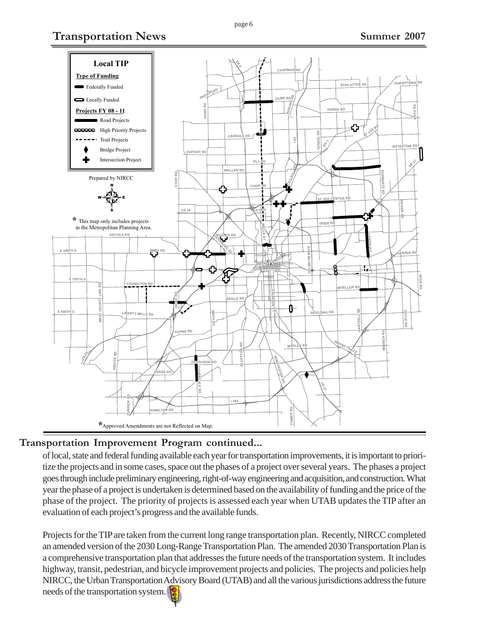**Transportation News Summer 2007** 



### **Transportation Improvement Program continued...**

of local, state and federal funding available each year for transportation improvements, it is important to prioritize the projects and in some cases, space out the phases of a project over several years. The phases a project goes through include preliminary engineering, right-of-way engineering and acquisition, and construction. What year the phase of a project is undertaken is determined based on the availability of funding and the price of the phase of the project. The priority of projects is assessed each year when UTAB updates the TIP after an evaluation of each project's progress and the available funds.

Projects for the TIP are taken from the current long range transportation plan. Recently, NIRCC completed an amended version of the 2030 Long-Range Transportation Plan. The amended 2030 Transportation Plan is a comprehensive transportation plan that addresses the future needs of the transportation system. It includes highway, transit, pedestrian, and bicycle improvement projects and policies. The projects and policies help NIRCC, the Urban Transportation Advisory Board (UTAB) and all the various jurisdictions address the future needs of the transportation system.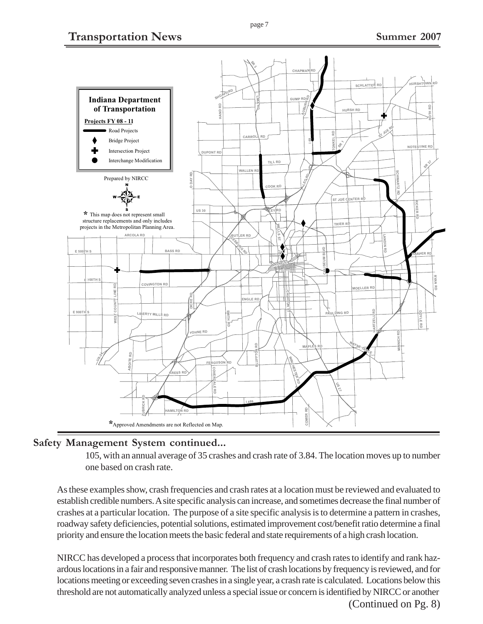# **Transportation News** Summer 2007



### **Safety Management System continued...**

105, with an annual average of 35 crashes and crash rate of 3.84. The location moves up to number one based on crash rate.

As these examples show, crash frequencies and crash rates at a location must be reviewed and evaluated to establish credible numbers. A site specific analysis can increase, and sometimes decrease the final number of crashes at a particular location. The purpose of a site specific analysis is to determine a pattern in crashes, roadway safety deficiencies, potential solutions, estimated improvement cost/benefit ratio determine a final priority and ensure the location meets the basic federal and state requirements of a high crash location.

NIRCC has developed a process that incorporates both frequency and crash rates to identify and rank hazardous locations in a fair and responsive manner. The list of crash locations by frequency is reviewed, and for locations meeting or exceeding seven crashes in a single year, a crash rate is calculated. Locations below this threshold are not automatically analyzed unless a special issue or concern is identified by NIRCC or another (Continued on Pg. 8)